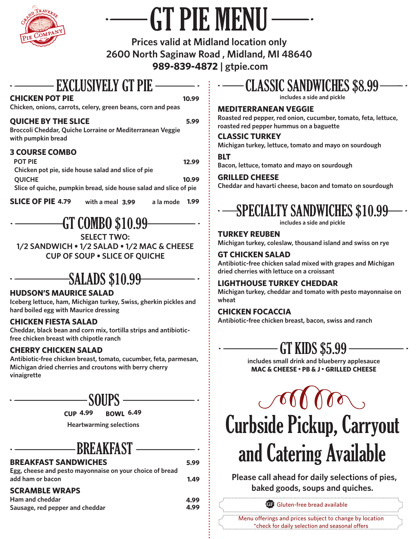

# GT PIE MENU

**Prices valid at Midland location only 2600 North Saginaw Road , Midland, MI 48640 989-839-4872 | gtpie.com**

### EXCLUSIVELY GT PIE

#### **CHICKEN POT PIE**

**10.99**

**Chicken, onions, carrots, celery, green beans, corn and peas**

#### **QUICHE BY THE SLICE**

**5.99**

**Broccoli Cheddar, Quiche Lorraine or Mediterranean Veggie with pumpkin bread**

#### **3 COURSE COMBO**

| <b>POT PIE</b>                                                    | 12.99 |
|-------------------------------------------------------------------|-------|
| Chicken pot pie, side house salad and slice of pie                |       |
| <b>OUICHE</b>                                                     | 10.99 |
| Slice of quiche, pumpkin bread, side house salad and slice of pie |       |
|                                                                   |       |

**SLICE OF PIE 4.79** with a meal 3.99 a la mode 1.99 **with a meal 3.99** 

GT COMBO \$10.99

**SELECT TWO:**

**1/2 SANDWICH • 1/2 SALAD • 1/2 MAC & CHEESE CUP OF SOUP • SLICE OF QUICHE**

## SALADS \$10.99

#### **HUDSON'S MAURICE SALAD**

**Iceberg lettuce, ham, Michigan turkey, Swiss, gherkin pickles and hard boiled egg with Maurice dressing**

#### **CHICKEN FIESTA SALAD**

**Cheddar, black bean and corn mix, tortilla strips and antibioticfree chicken breast with chipotle ranch**

#### **CHERRY CHICKEN SALAD**

**Antibiotic-free chicken breast, tomato, cucumber, feta, parmesan, Michigan dried cherries and croutons with berry cherry vinaigrette**

## SOUPS

 **CUP 4.99 BOWL 6.49**

**Heartwarming selections**

### **BREAKFAST**

| <b>BREAKFAST SANDWICHES</b>                              | 5.99 |
|----------------------------------------------------------|------|
| Egg, cheese and pesto mayonnaise on your choice of bread |      |
| add ham or bacon                                         | 1.49 |
| <b>SCRAMBLE WRAPS</b>                                    |      |
| Ham and cheddar                                          | 4.99 |
| Sausage, red pepper and cheddar                          | 4.99 |

## CLASSIC SANDWICHES \$8.99

**includes a side and pickle**

#### **MEDITERRANEAN VEGGIE**

**Roasted red pepper, red onion, cucumber, tomato, feta, lettuce, roasted red pepper hummus on a baguette**

#### **CLASSIC TURKEY**

**Michigan turkey, lettuce, tomato and mayo on sourdough**

#### **BLT**

**Bacon, lettuce, tomato and mayo on sourdough**

#### **GRILLED CHEESE**

**Cheddar and havarti cheese, bacon and tomato on sourdough**

## SPECIALTY SANDWICHES \$10.99

**includes a side and pickle**

**TURKEY REUBEN Michigan turkey, coleslaw, thousand island and swiss on rye** 

#### **GT CHICKEN SALAD**

**Antibiotic-free chicken salad mixed with grapes and Michigan dried cherries with lettuce on a croissant**

#### **LIGHTHOUSE TURKEY CHEDDAR**

**Michigan turkey, cheddar and tomato with pesto mayonnaise on wheat**

#### **CHICKEN FOCACCIA**

**Antibiotic-free chicken breast, bacon, swiss and ranch**

## GT KIDS \$5.99

**includes small drink and blueberry applesauce MAC & CHEESE** • **PB & J** • **GRILLED CHEESE**

## $\mathcal{M}(\mathcal{M})$ Curbside Pickup, Carryout and Catering Available

 **Please call ahead for daily selections of pies, baked goods, soups and quiches.**

**4.99**  $\vdots$   $\vdots$  **GF** Gluten-free bread available

Menu offerings and prices subject to change by location \*check for daily selection and seasonal offers